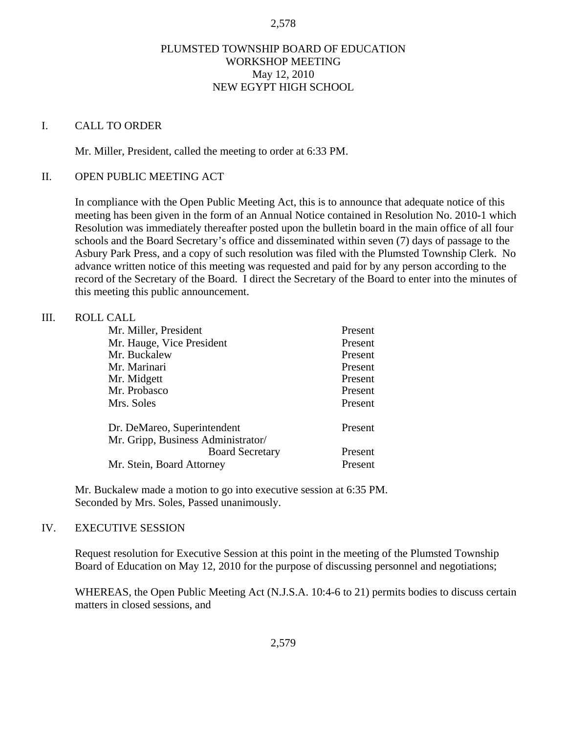#### 2,578

# PLUMSTED TOWNSHIP BOARD OF EDUCATION WORKSHOP MEETING May 12, 2010 NEW EGYPT HIGH SCHOOL

#### I. CALL TO ORDER

Mr. Miller, President, called the meeting to order at 6:33 PM.

## II. OPEN PUBLIC MEETING ACT

In compliance with the Open Public Meeting Act, this is to announce that adequate notice of this meeting has been given in the form of an Annual Notice contained in Resolution No. 2010-1 which Resolution was immediately thereafter posted upon the bulletin board in the main office of all four schools and the Board Secretary's office and disseminated within seven (7) days of passage to the Asbury Park Press, and a copy of such resolution was filed with the Plumsted Township Clerk. No advance written notice of this meeting was requested and paid for by any person according to the record of the Secretary of the Board. I direct the Secretary of the Board to enter into the minutes of this meeting this public announcement.

#### III. ROLL CALL

| Mr. Miller, President              | Present |
|------------------------------------|---------|
| Mr. Hauge, Vice President          | Present |
| Mr. Buckalew                       | Present |
| Mr. Marinari                       | Present |
| Mr. Midgett                        | Present |
| Mr. Probasco                       | Present |
| Mrs. Soles                         | Present |
| Dr. DeMareo, Superintendent        | Present |
| Mr. Gripp, Business Administrator/ |         |
| <b>Board Secretary</b>             | Present |
| Mr. Stein, Board Attorney          | Present |

 Mr. Buckalew made a motion to go into executive session at 6:35 PM. Seconded by Mrs. Soles, Passed unanimously.

# IV. EXECUTIVE SESSION

Request resolution for Executive Session at this point in the meeting of the Plumsted Township Board of Education on May 12, 2010 for the purpose of discussing personnel and negotiations;

WHEREAS, the Open Public Meeting Act (N.J.S.A. 10:4-6 to 21) permits bodies to discuss certain matters in closed sessions, and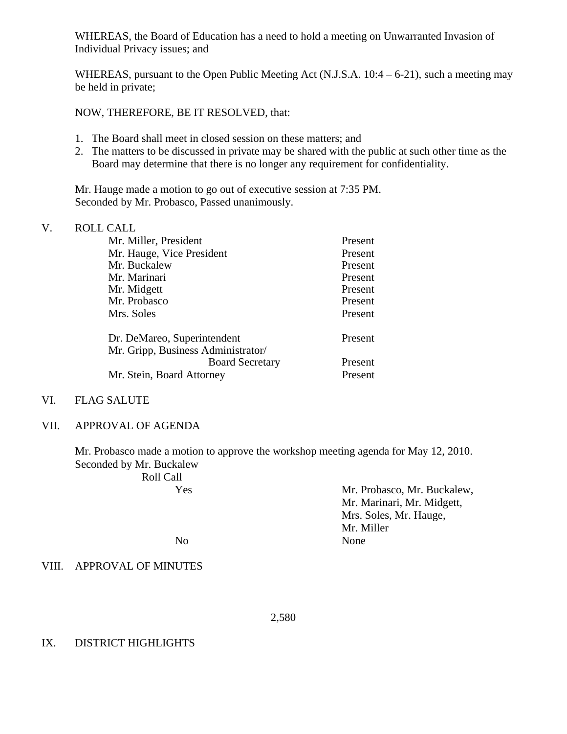WHEREAS, the Board of Education has a need to hold a meeting on Unwarranted Invasion of Individual Privacy issues; and

WHEREAS, pursuant to the Open Public Meeting Act (N.J.S.A. 10:4 – 6-21), such a meeting may be held in private;

NOW, THEREFORE, BE IT RESOLVED, that:

- 1. The Board shall meet in closed session on these matters; and
- 2. The matters to be discussed in private may be shared with the public at such other time as the Board may determine that there is no longer any requirement for confidentiality.

 Mr. Hauge made a motion to go out of executive session at 7:35 PM. Seconded by Mr. Probasco, Passed unanimously.

## V. ROLL CALL

| Mr. Miller, President              | Present |
|------------------------------------|---------|
| Mr. Hauge, Vice President          | Present |
| Mr. Buckalew                       | Present |
| Mr. Marinari                       | Present |
| Mr. Midgett                        | Present |
| Mr. Probasco                       | Present |
| Mrs. Soles                         | Present |
| Dr. DeMareo, Superintendent        | Present |
| Mr. Gripp, Business Administrator/ |         |
| <b>Board Secretary</b>             | Present |
| Mr. Stein, Board Attorney          | Present |

# VI. FLAG SALUTE

## VII. APPROVAL OF AGENDA

Mr. Probasco made a motion to approve the workshop meeting agenda for May 12, 2010. Seconded by Mr. Buckalew

| Roll Call |                             |
|-----------|-----------------------------|
| Yes       | Mr. Probasco, Mr. Buckalew, |
|           | Mr. Marinari, Mr. Midgett,  |
|           | Mrs. Soles, Mr. Hauge,      |
|           | Mr. Miller                  |
| No.       | None                        |

VIII. APPROVAL OF MINUTES

2,580

#### IX. DISTRICT HIGHLIGHTS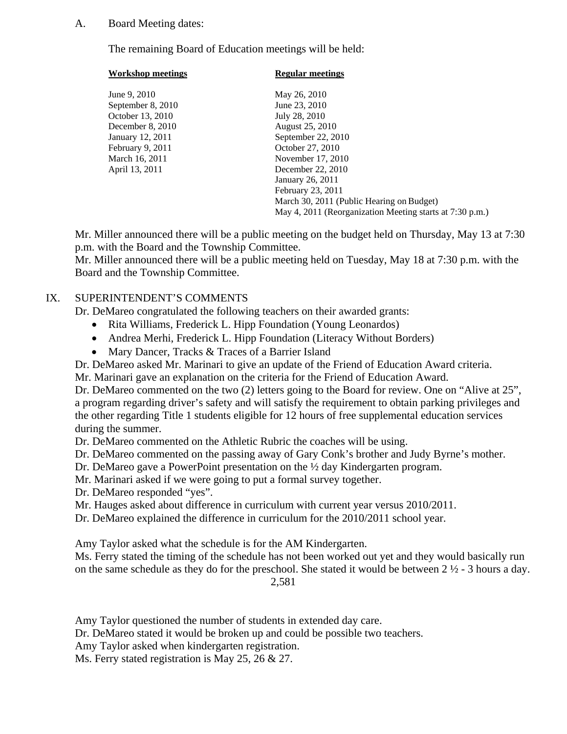## A. Board Meeting dates:

The remaining Board of Education meetings will be held:

| <b>Workshop meetings</b> | <b>Regular meetings</b>                                  |
|--------------------------|----------------------------------------------------------|
| June 9, 2010             | May 26, 2010                                             |
| September 8, 2010        | June 23, 2010                                            |
| October 13, 2010         | July 28, 2010                                            |
| December 8, 2010         | August 25, 2010                                          |
| January 12, 2011         | September 22, 2010                                       |
| February 9, 2011         | October 27, 2010                                         |
| March 16, 2011           | November 17, 2010                                        |
| April 13, 2011           | December 22, 2010                                        |
|                          | January 26, 2011                                         |
|                          | February 23, 2011                                        |
|                          | March 30, 2011 (Public Hearing on Budget)                |
|                          | May 4, 2011 (Reorganization Meeting starts at 7:30 p.m.) |

Mr. Miller announced there will be a public meeting on the budget held on Thursday, May 13 at 7:30 p.m. with the Board and the Township Committee.

Mr. Miller announced there will be a public meeting held on Tuesday, May 18 at 7:30 p.m. with the Board and the Township Committee.

# IX. SUPERINTENDENT'S COMMENTS

Dr. DeMareo congratulated the following teachers on their awarded grants:

- Rita Williams, Frederick L. Hipp Foundation (Young Leonardos)
- Andrea Merhi, Frederick L. Hipp Foundation (Literacy Without Borders)
- Mary Dancer, Tracks & Traces of a Barrier Island

Dr. DeMareo asked Mr. Marinari to give an update of the Friend of Education Award criteria.

Mr. Marinari gave an explanation on the criteria for the Friend of Education Award.

Dr. DeMareo commented on the two (2) letters going to the Board for review. One on "Alive at 25", a program regarding driver's safety and will satisfy the requirement to obtain parking privileges and the other regarding Title 1 students eligible for 12 hours of free supplemental education services during the summer.

Dr. DeMareo commented on the Athletic Rubric the coaches will be using.

Dr. DeMareo commented on the passing away of Gary Conk's brother and Judy Byrne's mother.

Dr. DeMareo gave a PowerPoint presentation on the ½ day Kindergarten program.

Mr. Marinari asked if we were going to put a formal survey together.

Dr. DeMareo responded "yes".

Mr. Hauges asked about difference in curriculum with current year versus 2010/2011.

Dr. DeMareo explained the difference in curriculum for the 2010/2011 school year.

Amy Taylor asked what the schedule is for the AM Kindergarten.

Ms. Ferry stated the timing of the schedule has not been worked out yet and they would basically run on the same schedule as they do for the preschool. She stated it would be between 2 ½ - 3 hours a day.

2,581

Amy Taylor questioned the number of students in extended day care.

Dr. DeMareo stated it would be broken up and could be possible two teachers.

Amy Taylor asked when kindergarten registration.

Ms. Ferry stated registration is May 25, 26 & 27.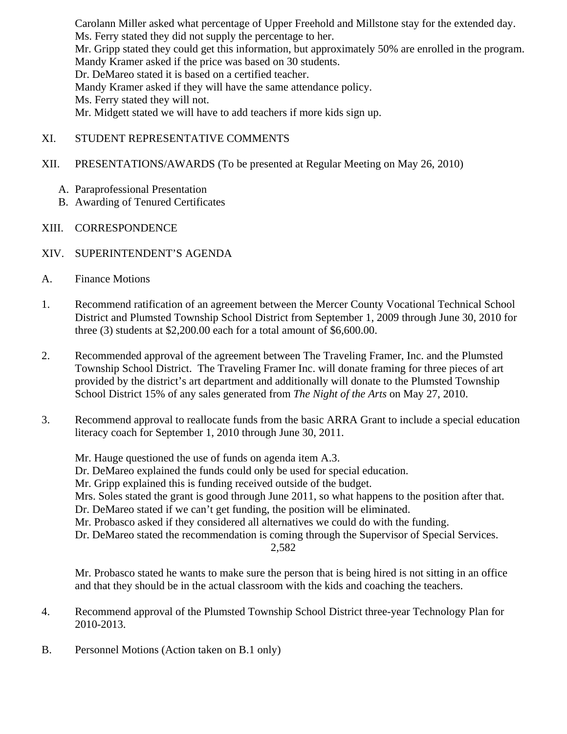Carolann Miller asked what percentage of Upper Freehold and Millstone stay for the extended day. Ms. Ferry stated they did not supply the percentage to her. Mr. Gripp stated they could get this information, but approximately 50% are enrolled in the program. Mandy Kramer asked if the price was based on 30 students. Dr. DeMareo stated it is based on a certified teacher. Mandy Kramer asked if they will have the same attendance policy. Ms. Ferry stated they will not. Mr. Midgett stated we will have to add teachers if more kids sign up.

- XI. STUDENT REPRESENTATIVE COMMENTS
- XII. PRESENTATIONS/AWARDS (To be presented at Regular Meeting on May 26, 2010)
	- A. Paraprofessional Presentation
	- B. Awarding of Tenured Certificates
- XIII. CORRESPONDENCE
- XIV. SUPERINTENDENT'S AGENDA
- A. Finance Motions
- 1. Recommend ratification of an agreement between the Mercer County Vocational Technical School District and Plumsted Township School District from September 1, 2009 through June 30, 2010 for three  $(3)$  students at \$2,200.00 each for a total amount of \$6,600.00.
- 2. Recommended approval of the agreement between The Traveling Framer, Inc. and the Plumsted Township School District. The Traveling Framer Inc. will donate framing for three pieces of art provided by the district's art department and additionally will donate to the Plumsted Township School District 15% of any sales generated from *The Night of the Arts* on May 27, 2010.
- 3. Recommend approval to reallocate funds from the basic ARRA Grant to include a special education literacy coach for September 1, 2010 through June 30, 2011.

Mr. Hauge questioned the use of funds on agenda item A.3. Dr. DeMareo explained the funds could only be used for special education. Mr. Gripp explained this is funding received outside of the budget. Mrs. Soles stated the grant is good through June 2011, so what happens to the position after that. Dr. DeMareo stated if we can't get funding, the position will be eliminated. Mr. Probasco asked if they considered all alternatives we could do with the funding. Dr. DeMareo stated the recommendation is coming through the Supervisor of Special Services. 2,582

 Mr. Probasco stated he wants to make sure the person that is being hired is not sitting in an office and that they should be in the actual classroom with the kids and coaching the teachers.

- 4. Recommend approval of the Plumsted Township School District three-year Technology Plan for 2010-2013.
- B. Personnel Motions (Action taken on B.1 only)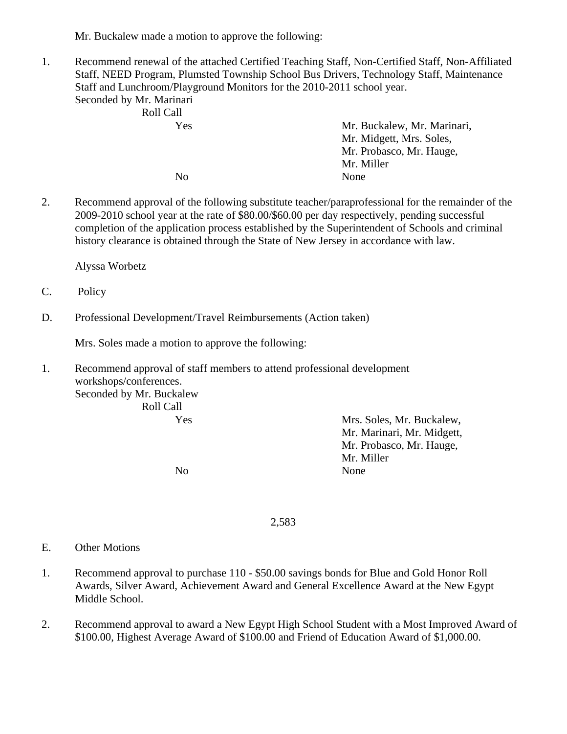Mr. Buckalew made a motion to approve the following:

1. Recommend renewal of the attached Certified Teaching Staff, Non-Certified Staff, Non-Affiliated Staff, NEED Program, Plumsted Township School Bus Drivers, Technology Staff, Maintenance Staff and Lunchroom/Playground Monitors for the 2010-2011 school year. Seconded by Mr. Marinari

| Roll Call |                             |
|-----------|-----------------------------|
| Yes       | Mr. Buckalew, Mr. Marinari, |
|           | Mr. Midgett, Mrs. Soles,    |
|           | Mr. Probasco, Mr. Hauge,    |
|           | Mr. Miller                  |
| No        | None                        |

2. Recommend approval of the following substitute teacher/paraprofessional for the remainder of the 2009-2010 school year at the rate of \$80.00/\$60.00 per day respectively, pending successful completion of the application process established by the Superintendent of Schools and criminal history clearance is obtained through the State of New Jersey in accordance with law.

Alyssa Worbetz

- C. Policy
- D. Professional Development/Travel Reimbursements (Action taken)

Mrs. Soles made a motion to approve the following:

1. Recommend approval of staff members to attend professional development workshops/conferences. Seconded by Mr. Buckalew

Roll Call

 Yes Mrs. Soles, Mr. Buckalew, Mr. Marinari, Mr. Midgett, Mr. Probasco, Mr. Hauge, Mr. Miller No None

2,583

- E. Other Motions
- 1. Recommend approval to purchase 110 \$50.00 savings bonds for Blue and Gold Honor Roll Awards, Silver Award, Achievement Award and General Excellence Award at the New Egypt Middle School.
- 2. Recommend approval to award a New Egypt High School Student with a Most Improved Award of \$100.00, Highest Average Award of \$100.00 and Friend of Education Award of \$1,000.00.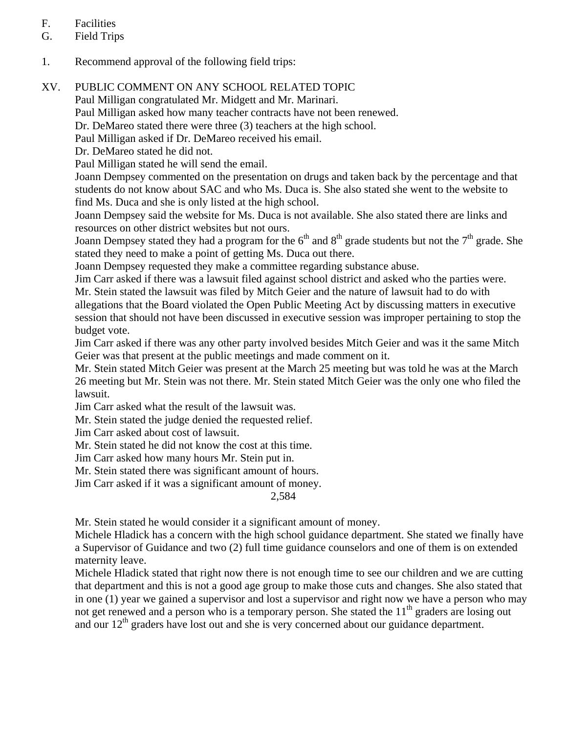# F. Facilities

- G. Field Trips
- 1. Recommend approval of the following field trips:

# XV. PUBLIC COMMENT ON ANY SCHOOL RELATED TOPIC

Paul Milligan congratulated Mr. Midgett and Mr. Marinari.

Paul Milligan asked how many teacher contracts have not been renewed.

Dr. DeMareo stated there were three (3) teachers at the high school.

Paul Milligan asked if Dr. DeMareo received his email.

Dr. DeMareo stated he did not.

Paul Milligan stated he will send the email.

Joann Dempsey commented on the presentation on drugs and taken back by the percentage and that students do not know about SAC and who Ms. Duca is. She also stated she went to the website to find Ms. Duca and she is only listed at the high school.

Joann Dempsey said the website for Ms. Duca is not available. She also stated there are links and resources on other district websites but not ours.

Joann Dempsey stated they had a program for the  $6<sup>th</sup>$  and  $8<sup>th</sup>$  grade students but not the  $7<sup>th</sup>$  grade. She stated they need to make a point of getting Ms. Duca out there.

Joann Dempsey requested they make a committee regarding substance abuse.

Jim Carr asked if there was a lawsuit filed against school district and asked who the parties were. Mr. Stein stated the lawsuit was filed by Mitch Geier and the nature of lawsuit had to do with allegations that the Board violated the Open Public Meeting Act by discussing matters in executive session that should not have been discussed in executive session was improper pertaining to stop the budget vote.

Jim Carr asked if there was any other party involved besides Mitch Geier and was it the same Mitch Geier was that present at the public meetings and made comment on it.

Mr. Stein stated Mitch Geier was present at the March 25 meeting but was told he was at the March 26 meeting but Mr. Stein was not there. Mr. Stein stated Mitch Geier was the only one who filed the lawsuit.

Jim Carr asked what the result of the lawsuit was.

Mr. Stein stated the judge denied the requested relief.

Jim Carr asked about cost of lawsuit.

Mr. Stein stated he did not know the cost at this time.

Jim Carr asked how many hours Mr. Stein put in.

Mr. Stein stated there was significant amount of hours.

Jim Carr asked if it was a significant amount of money.

2,584

Mr. Stein stated he would consider it a significant amount of money.

Michele Hladick has a concern with the high school guidance department. She stated we finally have a Supervisor of Guidance and two (2) full time guidance counselors and one of them is on extended maternity leave.

Michele Hladick stated that right now there is not enough time to see our children and we are cutting that department and this is not a good age group to make those cuts and changes. She also stated that in one (1) year we gained a supervisor and lost a supervisor and right now we have a person who may not get renewed and a person who is a temporary person. She stated the 11<sup>th</sup> graders are losing out and our 12<sup>th</sup> graders have lost out and she is very concerned about our guidance department.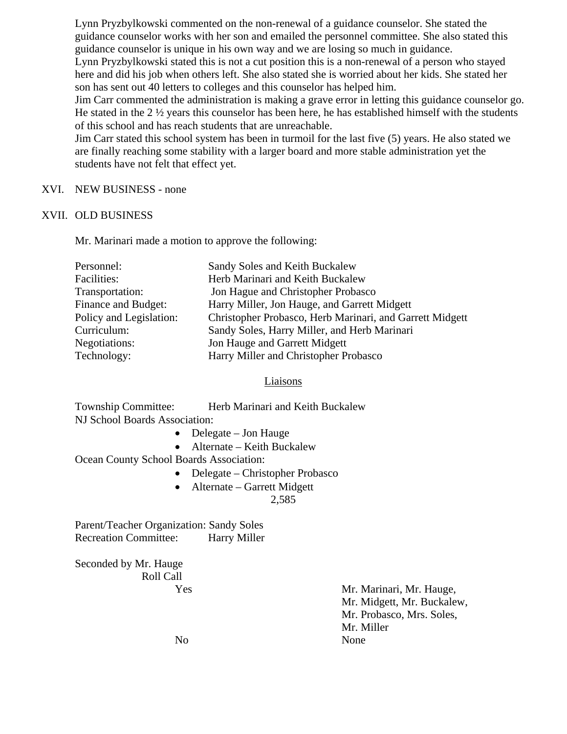Lynn Pryzbylkowski commented on the non-renewal of a guidance counselor. She stated the guidance counselor works with her son and emailed the personnel committee. She also stated this guidance counselor is unique in his own way and we are losing so much in guidance. Lynn Pryzbylkowski stated this is not a cut position this is a non-renewal of a person who stayed here and did his job when others left. She also stated she is worried about her kids. She stated her

son has sent out 40 letters to colleges and this counselor has helped him.

Jim Carr commented the administration is making a grave error in letting this guidance counselor go. He stated in the 2 ½ years this counselor has been here, he has established himself with the students of this school and has reach students that are unreachable.

Jim Carr stated this school system has been in turmoil for the last five (5) years. He also stated we are finally reaching some stability with a larger board and more stable administration yet the students have not felt that effect yet.

## XVI. NEW BUSINESS - none

## XVII. OLD BUSINESS

Mr. Marinari made a motion to approve the following:

| Personnel:              | Sandy Soles and Keith Buckalew                           |
|-------------------------|----------------------------------------------------------|
| Facilities:             | Herb Marinari and Keith Buckalew                         |
| Transportation:         | Jon Hague and Christopher Probasco                       |
| Finance and Budget:     | Harry Miller, Jon Hauge, and Garrett Midgett             |
| Policy and Legislation: | Christopher Probasco, Herb Marinari, and Garrett Midgett |
| Curriculum:             | Sandy Soles, Harry Miller, and Herb Marinari             |
| Negotiations:           | Jon Hauge and Garrett Midgett                            |
| Technology:             | Harry Miller and Christopher Probasco                    |

#### Liaisons

| Township Committee:           | Herb Marinari and Keith Buckalew |
|-------------------------------|----------------------------------|
| NJ School Boards Association: |                                  |

- Delegate Jon Hauge
- Alternate Keith Buckalew

Ocean County School Boards Association:

- Delegate Christopher Probasco
- Alternate Garrett Midgett 2,585

Parent/Teacher Organization: Sandy Soles Recreation Committee: Harry Miller

Seconded by Mr. Hauge Roll Call

 Yes Mr. Marinari, Mr. Hauge, Mr. Midgett, Mr. Buckalew, Mr. Probasco, Mrs. Soles, Mr. Miller No None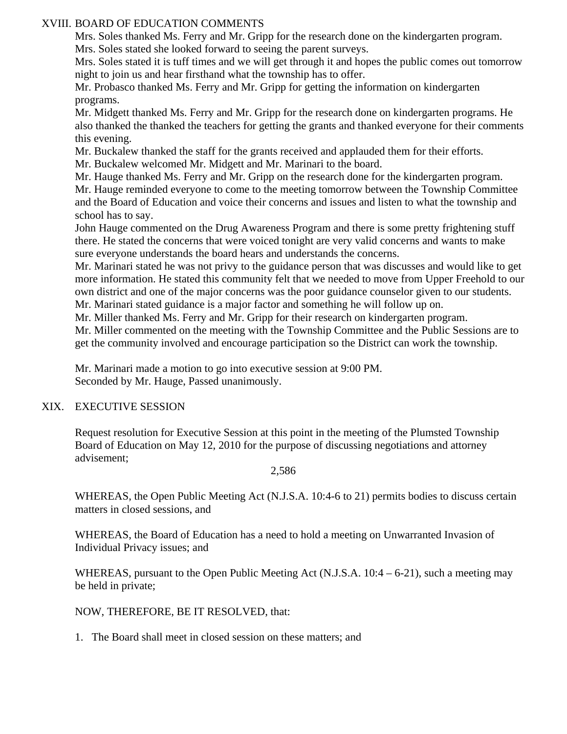# XVIII. BOARD OF EDUCATION COMMENTS

Mrs. Soles thanked Ms. Ferry and Mr. Gripp for the research done on the kindergarten program.

Mrs. Soles stated she looked forward to seeing the parent surveys.

Mrs. Soles stated it is tuff times and we will get through it and hopes the public comes out tomorrow night to join us and hear firsthand what the township has to offer.

Mr. Probasco thanked Ms. Ferry and Mr. Gripp for getting the information on kindergarten programs.

Mr. Midgett thanked Ms. Ferry and Mr. Gripp for the research done on kindergarten programs. He also thanked the thanked the teachers for getting the grants and thanked everyone for their comments this evening.

Mr. Buckalew thanked the staff for the grants received and applauded them for their efforts.

Mr. Buckalew welcomed Mr. Midgett and Mr. Marinari to the board.

Mr. Hauge thanked Ms. Ferry and Mr. Gripp on the research done for the kindergarten program.

Mr. Hauge reminded everyone to come to the meeting tomorrow between the Township Committee and the Board of Education and voice their concerns and issues and listen to what the township and school has to say.

John Hauge commented on the Drug Awareness Program and there is some pretty frightening stuff there. He stated the concerns that were voiced tonight are very valid concerns and wants to make sure everyone understands the board hears and understands the concerns.

Mr. Marinari stated he was not privy to the guidance person that was discusses and would like to get more information. He stated this community felt that we needed to move from Upper Freehold to our own district and one of the major concerns was the poor guidance counselor given to our students. Mr. Marinari stated guidance is a major factor and something he will follow up on.

Mr. Miller thanked Ms. Ferry and Mr. Gripp for their research on kindergarten program.

Mr. Miller commented on the meeting with the Township Committee and the Public Sessions are to get the community involved and encourage participation so the District can work the township.

 Mr. Marinari made a motion to go into executive session at 9:00 PM. Seconded by Mr. Hauge, Passed unanimously.

# XIX. EXECUTIVE SESSION

Request resolution for Executive Session at this point in the meeting of the Plumsted Township Board of Education on May 12, 2010 for the purpose of discussing negotiations and attorney advisement;

#### 2,586

WHEREAS, the Open Public Meeting Act (N.J.S.A. 10:4-6 to 21) permits bodies to discuss certain matters in closed sessions, and

WHEREAS, the Board of Education has a need to hold a meeting on Unwarranted Invasion of Individual Privacy issues; and

WHEREAS, pursuant to the Open Public Meeting Act (N.J.S.A. 10:4 – 6-21), such a meeting may be held in private;

NOW, THEREFORE, BE IT RESOLVED, that:

1. The Board shall meet in closed session on these matters; and